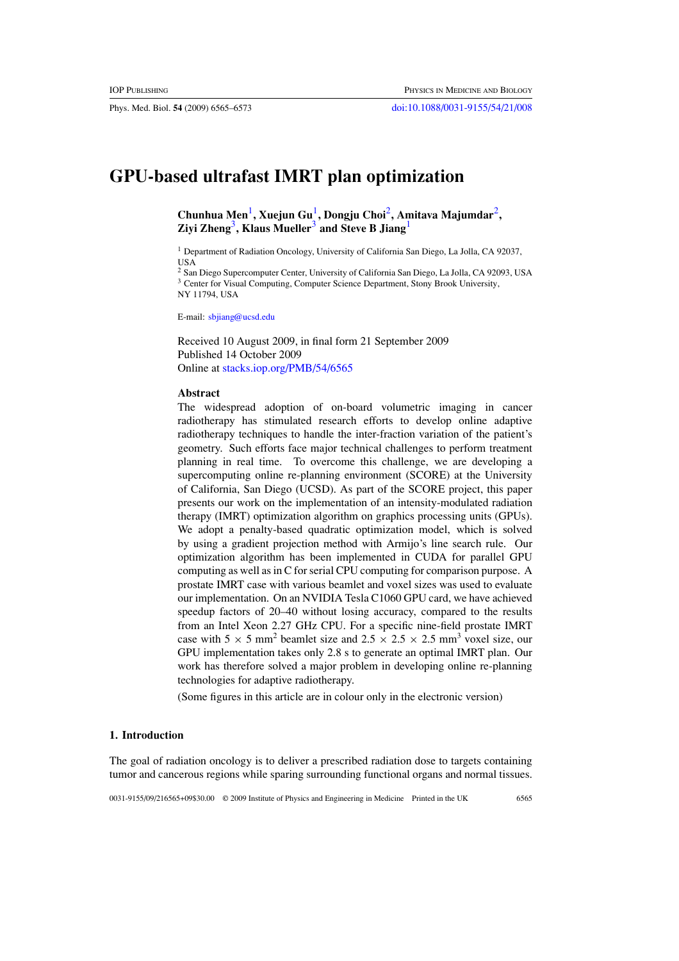# **GPU-based ultrafast IMRT plan optimization**

**Chunhua Men**1**, Xuejun Gu**1**, Dongju Choi**2**, Amitava Majumdar**2**, Ziyi Zheng<sup>3</sup>, Klaus Mueller<sup>3</sup> and Steve B Jiang<sup>1</sup>** 

<sup>1</sup> Department of Radiation Oncology, University of California San Diego, La Jolla, CA 92037, USA

<sup>2</sup> San Diego Supercomputer Center, University of California San Diego, La Jolla, CA 92093, USA <sup>3</sup> Center for Visual Computing, Computer Science Department, Stony Brook University, NY 11794, USA

E-mail: [sbjiang@ucsd.edu](mailto:sbjiang@ucsd.edu)

Received 10 August 2009, in final form 21 September 2009 Published 14 October 2009 Online at [stacks.iop.org/PMB/54/6565](http://stacks.iop.org/PMB/54/6565)

# **Abstract**

The widespread adoption of on-board volumetric imaging in cancer radiotherapy has stimulated research efforts to develop online adaptive radiotherapy techniques to handle the inter-fraction variation of the patient's geometry. Such efforts face major technical challenges to perform treatment planning in real time. To overcome this challenge, we are developing a supercomputing online re-planning environment (SCORE) at the University of California, San Diego (UCSD). As part of the SCORE project, this paper presents our work on the implementation of an intensity-modulated radiation therapy (IMRT) optimization algorithm on graphics processing units (GPUs). We adopt a penalty-based quadratic optimization model, which is solved by using a gradient projection method with Armijo's line search rule. Our optimization algorithm has been implemented in CUDA for parallel GPU computing as well as in C for serial CPU computing for comparison purpose. A prostate IMRT case with various beamlet and voxel sizes was used to evaluate our implementation. On an NVIDIA Tesla C1060 GPU card, we have achieved speedup factors of 20–40 without losing accuracy, compared to the results from an Intel Xeon 2.27 GHz CPU. For a specific nine-field prostate IMRT case with  $5 \times 5$  mm<sup>2</sup> beamlet size and  $2.5 \times 2.5 \times 2.5$  mm<sup>3</sup> voxel size, our GPU implementation takes only 2.8 s to generate an optimal IMRT plan. Our work has therefore solved a major problem in developing online re-planning technologies for adaptive radiotherapy.

(Some figures in this article are in colour only in the electronic version)

# **1. Introduction**

The goal of radiation oncology is to deliver a prescribed radiation dose to targets containing tumor and cancerous regions while sparing surrounding functional organs and normal tissues.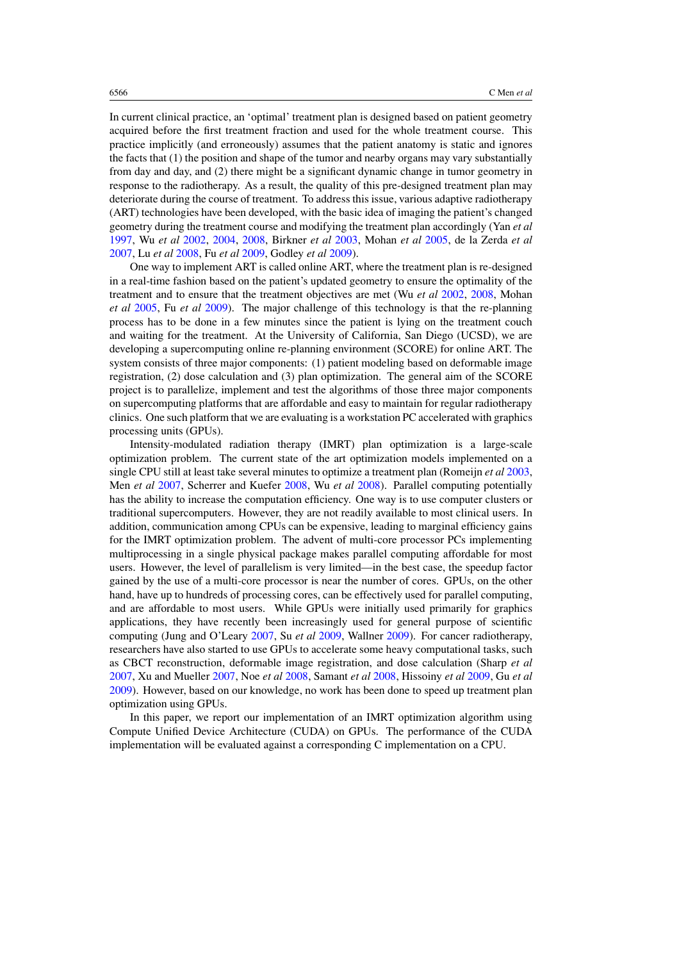In current clinical practice, an 'optimal' treatment plan is designed based on patient geometry acquired before the first treatment fraction and used for the whole treatment course. This practice implicitly (and erroneously) assumes that the patient anatomy is static and ignores the facts that (1) the position and shape of the tumor and nearby organs may vary substantially from day and day, and (2) there might be a significant dynamic change in tumor geometry in response to the radiotherapy. As a result, the quality of this pre-designed treatment plan may deteriorate during the course of treatment. To address this issue, various adaptive radiotherapy (ART) technologies have been developed, with the basic idea of imaging the patient's changed geometry during the treatment course and modifying the treatment plan accordingly (Yan *et al* [1997,](#page-8-0) Wu *et al* [2002,](#page-8-0) [2004](#page-7-0), [2008](#page-8-0), Birkner *et al* [2003,](#page-7-0) Mohan *et al* [2005,](#page-7-0) de la Zerda *et al* [2007,](#page-7-0) Lu *et al* [2008](#page-7-0), Fu *et al* [2009](#page-7-0), Godley *et al* [2009\)](#page-7-0).

One way to implement ART is called online ART, where the treatment plan is re-designed in a real-time fashion based on the patient's updated geometry to ensure the optimality of the treatment and to ensure that the treatment objectives are met (Wu *et al* [2002,](#page-8-0) [2008](#page-8-0), Mohan *et al* [2005,](#page-7-0) Fu *et al* [2009\)](#page-7-0). The major challenge of this technology is that the re-planning process has to be done in a few minutes since the patient is lying on the treatment couch and waiting for the treatment. At the University of California, San Diego (UCSD), we are developing a supercomputing online re-planning environment (SCORE) for online ART. The system consists of three major components: (1) patient modeling based on deformable image registration, (2) dose calculation and (3) plan optimization. The general aim of the SCORE project is to parallelize, implement and test the algorithms of those three major components on supercomputing platforms that are affordable and easy to maintain for regular radiotherapy clinics. One such platform that we are evaluating is a workstation PC accelerated with graphics processing units (GPUs).

Intensity-modulated radiation therapy (IMRT) plan optimization is a large-scale optimization problem. The current state of the art optimization models implemented on a single CPU still at least take several minutes to optimize a treatment plan (Romeijn *et al* [2003](#page-7-0), Men *et al* [2007,](#page-7-0) Scherrer and Kuefer [2008](#page-7-0), Wu *et al* [2008](#page-8-0)). Parallel computing potentially has the ability to increase the computation efficiency. One way is to use computer clusters or traditional supercomputers. However, they are not readily available to most clinical users. In addition, communication among CPUs can be expensive, leading to marginal efficiency gains for the IMRT optimization problem. The advent of multi-core processor PCs implementing multiprocessing in a single physical package makes parallel computing affordable for most users. However, the level of parallelism is very limited—in the best case, the speedup factor gained by the use of a multi-core processor is near the number of cores. GPUs, on the other hand, have up to hundreds of processing cores, can be effectively used for parallel computing, and are affordable to most users. While GPUs were initially used primarily for graphics applications, they have recently been increasingly used for general purpose of scientific computing (Jung and O'Leary [2007](#page-7-0), Su *et al* [2009](#page-7-0), Wallner [2009\)](#page-7-0). For cancer radiotherapy, researchers have also started to use GPUs to accelerate some heavy computational tasks, such as CBCT reconstruction, deformable image registration, and dose calculation (Sharp *et al* [2007,](#page-7-0) Xu and Mueller [2007](#page-8-0), Noe *et al* [2008](#page-7-0), Samant *et al* [2008](#page-7-0), Hissoiny *et al* [2009,](#page-7-0) Gu *et al* [2009\)](#page-7-0). However, based on our knowledge, no work has been done to speed up treatment plan optimization using GPUs.

In this paper, we report our implementation of an IMRT optimization algorithm using Compute Unified Device Architecture (CUDA) on GPUs. The performance of the CUDA implementation will be evaluated against a corresponding C implementation on a CPU.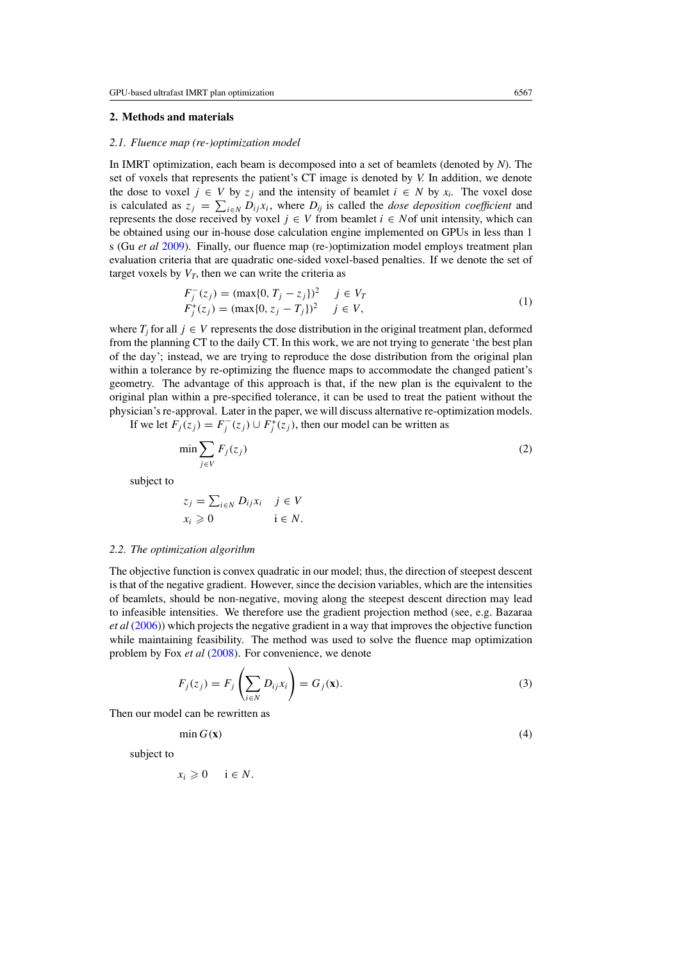# <span id="page-2-0"></span>**2. Methods and materials**

## *2.1. Fluence map (re-)optimization model*

In IMRT optimization, each beam is decomposed into a set of beamlets (denoted by *N*). The set of voxels that represents the patient's CT image is denoted by *V.* In addition, we denote the dose to voxel  $j \in V$  by  $z_j$  and the intensity of beamlet  $i \in N$  by  $x_i$ . The voxel dose is calculated as  $z_j = \sum_{i \in N} D_{ij} x_i$ , where  $D_{ij}$  is called the *dose deposition coefficient* and represents the dose received by voxel  $j \in V$  from beamlet  $i \in N$  of unit intensity, which can be obtained using our in-house dose calculation engine implemented on GPUs in less than 1 s (Gu *et al* [2009\)](#page-7-0). Finally, our fluence map (re-)optimization model employs treatment plan evaluation criteria that are quadratic one-sided voxel-based penalties. If we denote the set of target voxels by  $V_T$ , then we can write the criteria as

$$
F_j^-(z_j) = (\max\{0, T_j - z_j\})^2 \quad j \in V_T F_j^+(z_j) = (\max\{0, z_j - T_j\})^2 \quad j \in V,
$$
\n(1)

where  $T_i$  for all  $j \in V$  represents the dose distribution in the original treatment plan, deformed from the planning CT to the daily CT. In this work, we are not trying to generate 'the best plan of the day'; instead, we are trying to reproduce the dose distribution from the original plan within a tolerance by re-optimizing the fluence maps to accommodate the changed patient's geometry. The advantage of this approach is that, if the new plan is the equivalent to the original plan within a pre-specified tolerance, it can be used to treat the patient without the physician's re-approval. Later in the paper, we will discuss alternative re-optimization models.

If we let  $F_j(z_j) = F_j^-(z_j) \cup F_j^+(z_j)$ , then our model can be written as

$$
\min \sum_{j \in V} F_j(z_j) \tag{2}
$$

subject to

$$
z_j = \sum_{i \in N} D_{ij} x_i \quad j \in V
$$
  

$$
x_i \geq 0 \qquad \text{if } N.
$$

#### *2.2. The optimization algorithm*

The objective function is convex quadratic in our model; thus, the direction of steepest descent is that of the negative gradient. However, since the decision variables, which are the intensities of beamlets, should be non-negative, moving along the steepest descent direction may lead to infeasible intensities. We therefore use the gradient projection method (see, e.g. Bazaraa *et al* [\(2006](#page-7-0))) which projects the negative gradient in a way that improves the objective function while maintaining feasibility. The method was used to solve the fluence map optimization problem by Fox *et al* [\(2008](#page-7-0)). For convenience, we denote

$$
F_j(z_j) = F_j\left(\sum_{i \in N} D_{ij} x_i\right) = G_j(\mathbf{x}).\tag{3}
$$

Then our model can be rewritten as

$$
\min G(\mathbf{x})\tag{4}
$$

subject to

 $x_i \geqslant 0$  i  $\in N$ .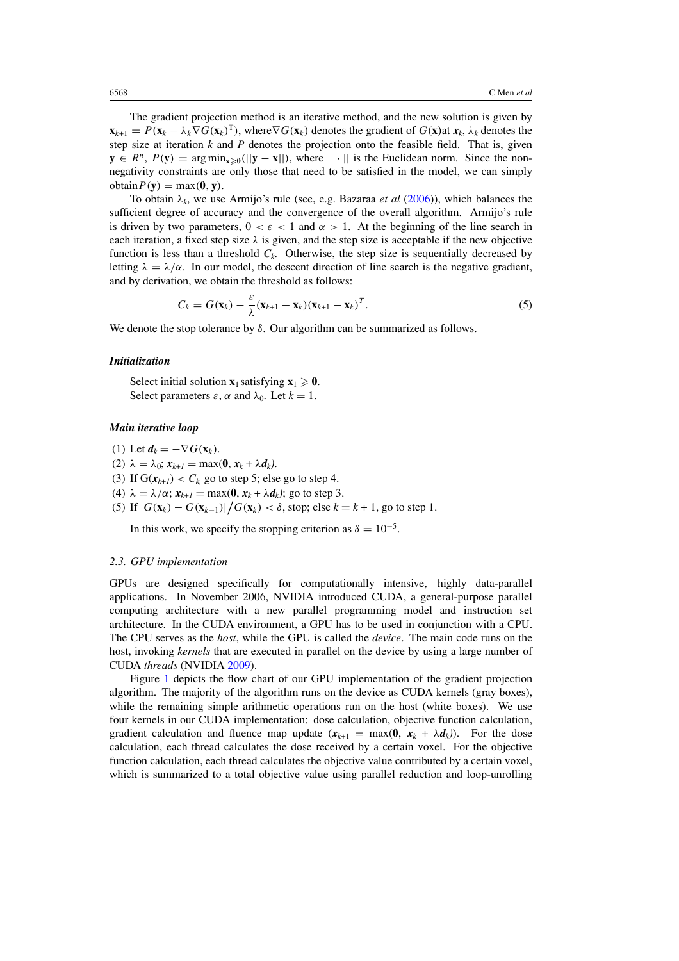The gradient projection method is an iterative method, and the new solution is given by  $\mathbf{x}_{k+1} = P(\mathbf{x}_k - \lambda_k \nabla G(\mathbf{x}_k)^T)$ , where  $\nabla G(\mathbf{x}_k)$  denotes the gradient of  $G(\mathbf{x})$  at  $\mathbf{x}_k$ ,  $\lambda_k$  denotes the step size at iteration *k* and *P* denotes the projection onto the feasible field. That is, given **y** ∈  $R^n$ ,  $P(y) = \arg \min_{x \ge 0} (||y - x||)$ , where  $|| \cdot ||$  is the Euclidean norm. Since the nonnegativity constraints are only those that need to be satisfied in the model, we can simply  $\text{obtain } P(y) = \max(0, y)$ .

To obtain *λk*, we use Armijo's rule (see, e.g. Bazaraa *et al* [\(2006](#page-7-0))), which balances the sufficient degree of accuracy and the convergence of the overall algorithm. Armijo's rule is driven by two parameters,  $0 < \varepsilon < 1$  and  $\alpha > 1$ . At the beginning of the line search in each iteration, a fixed step size  $\lambda$  is given, and the step size is acceptable if the new objective function is less than a threshold  $C_k$ . Otherwise, the step size is sequentially decreased by letting  $\lambda = \lambda/\alpha$ . In our model, the descent direction of line search is the negative gradient, and by derivation, we obtain the threshold as follows:

$$
C_k = G(\mathbf{x}_k) - \frac{\varepsilon}{\lambda} (\mathbf{x}_{k+1} - \mathbf{x}_k) (\mathbf{x}_{k+1} - \mathbf{x}_k)^T.
$$
 (5)

We denote the stop tolerance by *δ*. Our algorithm can be summarized as follows.

#### *Initialization*

Select initial solution  $\mathbf{x}_1$  satisfying  $\mathbf{x}_1 \geq 0$ . Select parameters  $\varepsilon$ ,  $\alpha$  and  $\lambda_0$ . Let  $k = 1$ .

#### *Main iterative loop*

- (1) Let  $d_k = -\nabla G(\mathbf{x}_k)$ .
- $(2)$   $\lambda = \lambda_0$ ;  $x_{k+1} = \max(0, x_k + \lambda d_k)$ .
- (3) If  $G(\mathbf{x}_{k+1}) < C_k$  go to step 5; else go to step 4.
- (4)  $\lambda = \lambda/\alpha$ ;  $x_{k+1} = \max(0, x_k + \lambda d_k)$ ; go to step 3.
- (5) If  $|G(\mathbf{x}_k) G(\mathbf{x}_{k-1})| / G(\mathbf{x}_k) < δ$ , stop; else  $k = k + 1$ , go to step 1.

In this work, we specify the stopping criterion as  $\delta = 10^{-5}$ .

#### *2.3. GPU implementation*

GPUs are designed specifically for computationally intensive, highly data-parallel applications. In November 2006, NVIDIA introduced CUDA, a general-purpose parallel computing architecture with a new parallel programming model and instruction set architecture. In the CUDA environment, a GPU has to be used in conjunction with a CPU. The CPU serves as the *host*, while the GPU is called the *device*. The main code runs on the host, invoking *kernels* that are executed in parallel on the device by using a large number of CUDA *threads* (NVIDIA [2009](#page-7-0)).

Figure [1](#page-4-0) depicts the flow chart of our GPU implementation of the gradient projection algorithm. The majority of the algorithm runs on the device as CUDA kernels (gray boxes), while the remaining simple arithmetic operations run on the host (white boxes). We use four kernels in our CUDA implementation: dose calculation, objective function calculation, gradient calculation and fluence map update  $(x_{k+1} = \max(0, x_k + \lambda d_k))$ . For the dose calculation, each thread calculates the dose received by a certain voxel. For the objective function calculation, each thread calculates the objective value contributed by a certain voxel, which is summarized to a total objective value using parallel reduction and loop-unrolling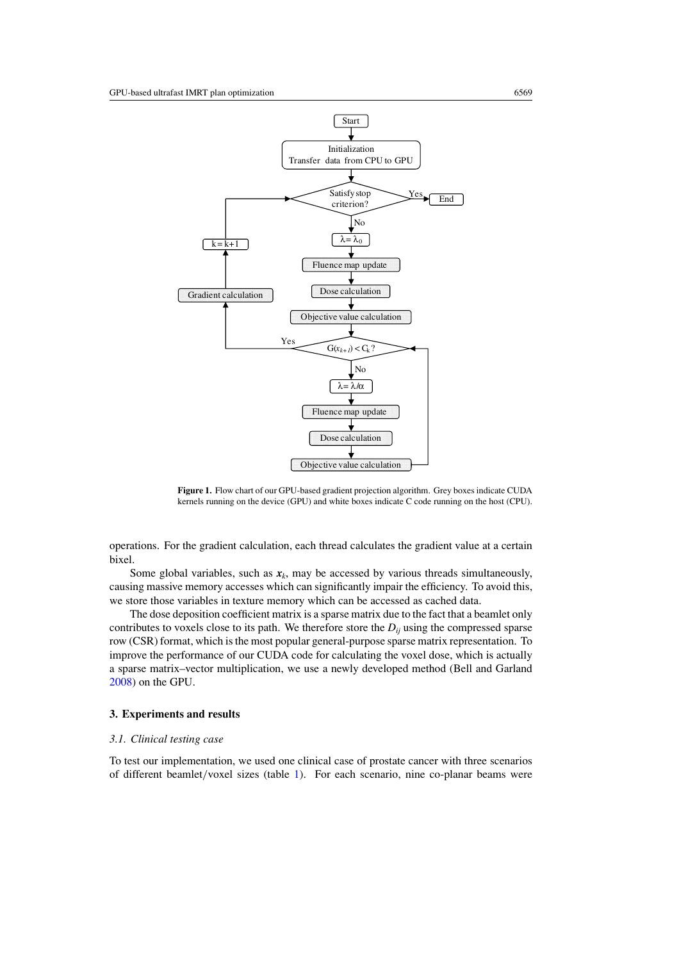<span id="page-4-0"></span>

**Figure 1.** Flow chart of our GPU-based gradient projection algorithm. Grey boxes indicate CUDA kernels running on the device (GPU) and white boxes indicate C code running on the host (CPU).

operations. For the gradient calculation, each thread calculates the gradient value at a certain bixel.

Some global variables, such as  $x_k$ , may be accessed by various threads simultaneously, causing massive memory accesses which can significantly impair the efficiency. To avoid this, we store those variables in texture memory which can be accessed as cached data.

The dose deposition coefficient matrix is a sparse matrix due to the fact that a beamlet only contributes to voxels close to its path. We therefore store the  $D_{ij}$  using the compressed sparse row (CSR) format, which is the most popular general-purpose sparse matrix representation. To improve the performance of our CUDA code for calculating the voxel dose, which is actually a sparse matrix–vector multiplication, we use a newly developed method (Bell and Garland [2008\)](#page-7-0) on the GPU.

# **3. Experiments and results**

## *3.1. Clinical testing case*

To test our implementation, we used one clinical case of prostate cancer with three scenarios of different beamlet*/*voxel sizes (table 1). For each scenario, nine co-planar beams were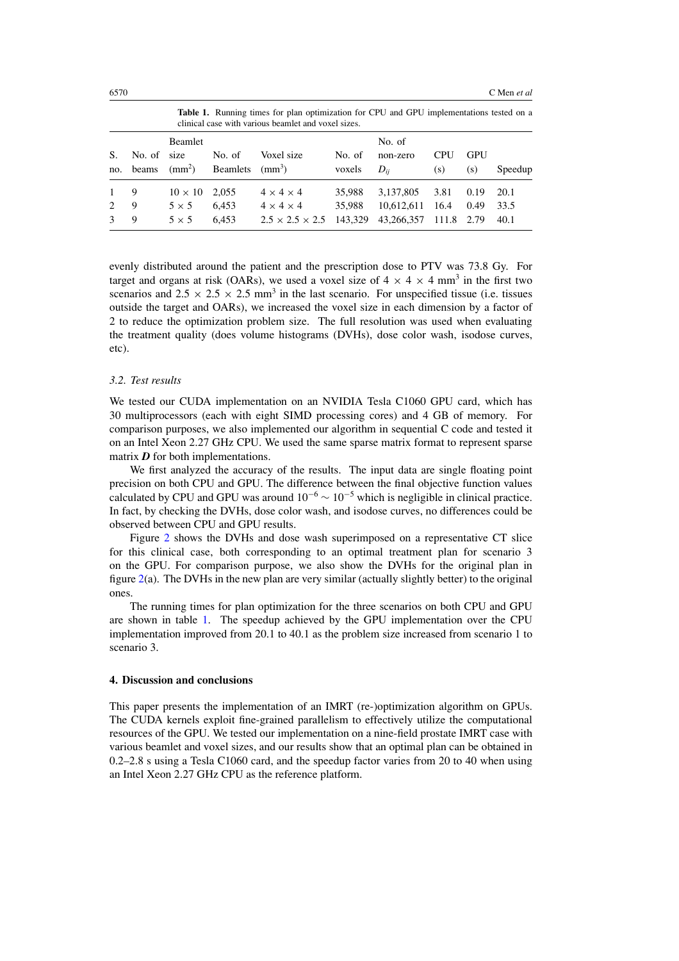| Table 1. Running times for plan optimization for CPU and GPU implementations tested on a<br>clinical case with various beamlet and voxel sizes. |                 |                                                |                           |                                                                               |                             |                                       |                       |                      |                      |
|-------------------------------------------------------------------------------------------------------------------------------------------------|-----------------|------------------------------------------------|---------------------------|-------------------------------------------------------------------------------|-----------------------------|---------------------------------------|-----------------------|----------------------|----------------------|
| no.                                                                                                                                             | No. of<br>beams | <b>Beamlet</b><br>size<br>$(mm^2)$             | No. of<br><b>Beamlets</b> | Voxel size<br>$\text{m}^3$                                                    | No. of<br>voxels            | No. of<br>non-zero<br>$D_{ii}$        | CPU<br>(s)            | <b>GPU</b><br>(s)    | Speedup              |
|                                                                                                                                                 | 9<br>9<br>9     | $10 \times 10$<br>$5 \times 5$<br>$5 \times 5$ | 2.055<br>6.453<br>6.453   | $4 \times 4 \times 4$<br>$4 \times 4 \times 4$<br>$2.5 \times 2.5 \times 2.5$ | 35,988<br>35,988<br>143,329 | 3,137,805<br>10,612,611<br>43,266,357 | 3.81<br>16.4<br>111.8 | 0.19<br>0.49<br>2.79 | 20.1<br>33.5<br>40.1 |

evenly distributed around the patient and the prescription dose to PTV was 73.8 Gy. For target and organs at risk (OARs), we used a voxel size of  $4 \times 4 \times 4$  mm<sup>3</sup> in the first two scenarios and  $2.5 \times 2.5 \times 2.5$  mm<sup>3</sup> in the last scenario. For unspecified tissue (i.e. tissues outside the target and OARs), we increased the voxel size in each dimension by a factor of 2 to reduce the optimization problem size. The full resolution was used when evaluating the treatment quality (does volume histograms (DVHs), dose color wash, isodose curves, etc).

# *3.2. Test results*

We tested our CUDA implementation on an NVIDIA Tesla C1060 GPU card, which has 30 multiprocessors (each with eight SIMD processing cores) and 4 GB of memory. For comparison purposes, we also implemented our algorithm in sequential C code and tested it on an Intel Xeon 2.27 GHz CPU. We used the same sparse matrix format to represent sparse matrix *D* for both implementations.

We first analyzed the accuracy of the results. The input data are single floating point precision on both CPU and GPU. The difference between the final objective function values calculated by CPU and GPU was around  $10^{-6} \sim 10^{-5}$  which is negligible in clinical practice. In fact, by checking the DVHs, dose color wash, and isodose curves, no differences could be observed between CPU and GPU results.

Figure [2](#page-6-0) shows the DVHs and dose wash superimposed on a representative CT slice for this clinical case, both corresponding to an optimal treatment plan for scenario 3 on the GPU. For comparison purpose, we also show the DVHs for the original plan in figure  $2(a)$  $2(a)$ . The DVHs in the new plan are very similar (actually slightly better) to the original ones.

The running times for plan optimization for the three scenarios on both CPU and GPU are shown in table [1.](#page-4-0) The speedup achieved by the GPU implementation over the CPU implementation improved from 20.1 to 40.1 as the problem size increased from scenario 1 to scenario 3.

# **4. Discussion and conclusions**

This paper presents the implementation of an IMRT (re-)optimization algorithm on GPUs. The CUDA kernels exploit fine-grained parallelism to effectively utilize the computational resources of the GPU. We tested our implementation on a nine-field prostate IMRT case with various beamlet and voxel sizes, and our results show that an optimal plan can be obtained in 0.2–2.8 s using a Tesla C1060 card, and the speedup factor varies from 20 to 40 when using an Intel Xeon 2.27 GHz CPU as the reference platform.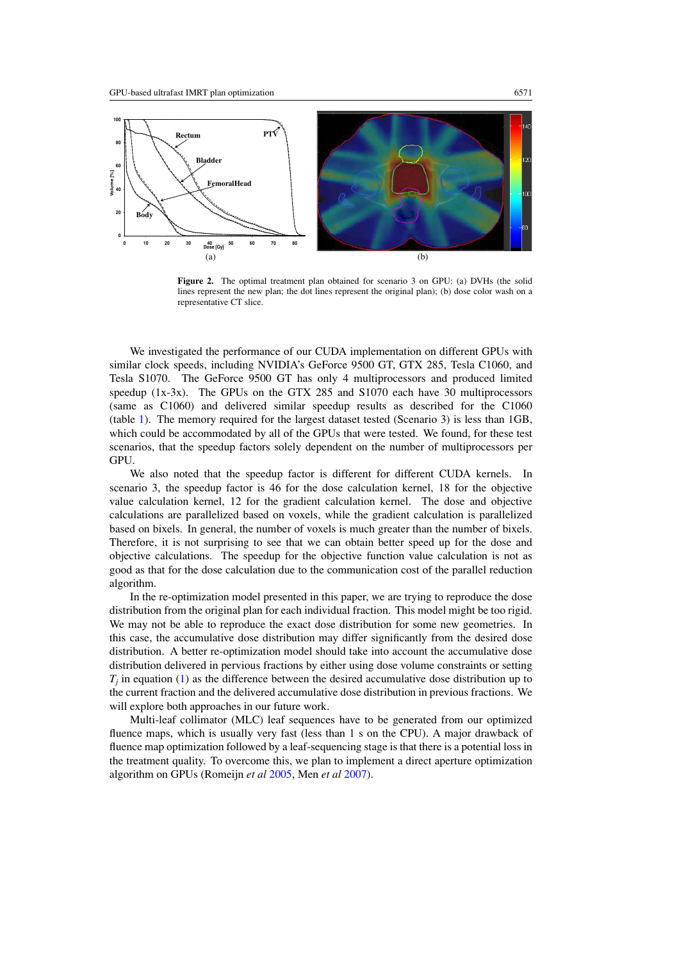<span id="page-6-0"></span>

**Figure 2.** The optimal treatment plan obtained for scenario 3 on GPU: (a) DVHs (the solid lines represent the new plan; the dot lines represent the original plan); (b) dose color wash on a representative CT slice.

We investigated the performance of our CUDA implementation on different GPUs with similar clock speeds, including NVIDIA's GeForce 9500 GT, GTX 285, Tesla C1060, and Tesla S1070. The GeForce 9500 GT has only 4 multiprocessors and produced limited speedup (1x-3x). The GPUs on the GTX 285 and S1070 each have 30 multiprocessors (same as C1060) and delivered similar speedup results as described for the C1060 (table [1\)](#page-4-0). The memory required for the largest dataset tested (Scenario 3) is less than 1GB, which could be accommodated by all of the GPUs that were tested. We found, for these test scenarios, that the speedup factors solely dependent on the number of multiprocessors per GPU.

We also noted that the speedup factor is different for different CUDA kernels. In scenario 3, the speedup factor is 46 for the dose calculation kernel, 18 for the objective value calculation kernel, 12 for the gradient calculation kernel. The dose and objective calculations are parallelized based on voxels, while the gradient calculation is parallelized based on bixels. In general, the number of voxels is much greater than the number of bixels. Therefore, it is not surprising to see that we can obtain better speed up for the dose and objective calculations. The speedup for the objective function value calculation is not as good as that for the dose calculation due to the communication cost of the parallel reduction algorithm.

In the re-optimization model presented in this paper, we are trying to reproduce the dose distribution from the original plan for each individual fraction. This model might be too rigid. We may not be able to reproduce the exact dose distribution for some new geometries. In this case, the accumulative dose distribution may differ significantly from the desired dose distribution. A better re-optimization model should take into account the accumulative dose distribution delivered in pervious fractions by either using dose volume constraints or setting  $T_i$  in equation [\(1\)](#page-2-0) as the difference between the desired accumulative dose distribution up to the current fraction and the delivered accumulative dose distribution in previous fractions. We will explore both approaches in our future work.

Multi-leaf collimator (MLC) leaf sequences have to be generated from our optimized fluence maps, which is usually very fast (less than 1 s on the CPU). A major drawback of fluence map optimization followed by a leaf-sequencing stage is that there is a potential loss in the treatment quality. To overcome this, we plan to implement a direct aperture optimization algorithm on GPUs (Romeijn *et al* [2005,](#page-7-0) Men *et al* [2007](#page-7-0)).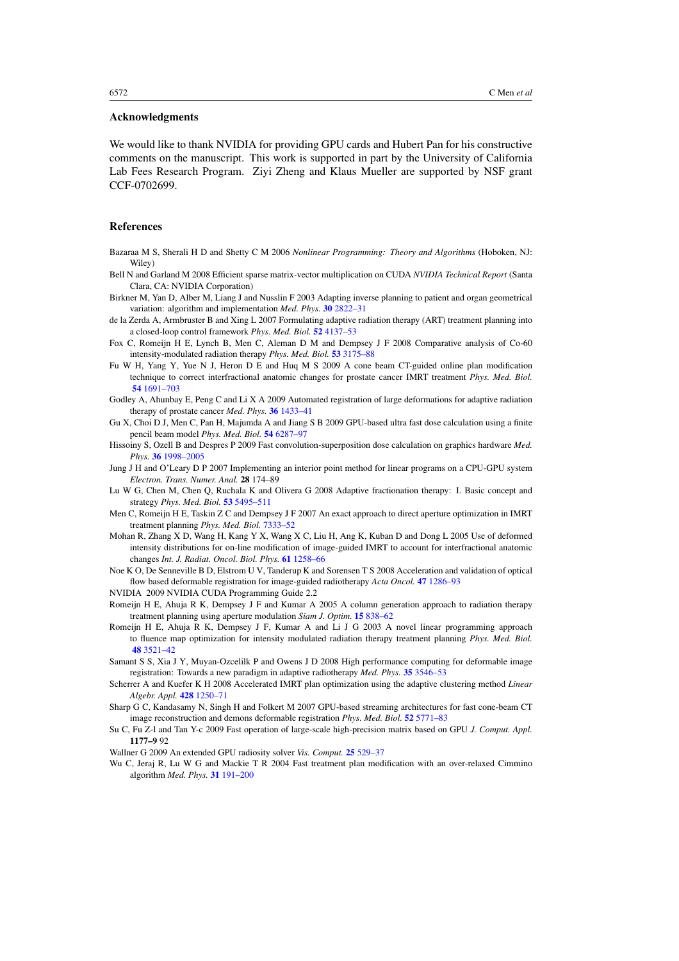# <span id="page-7-0"></span>**Acknowledgments**

We would like to thank NVIDIA for providing GPU cards and Hubert Pan for his constructive comments on the manuscript. This work is supported in part by the University of California Lab Fees Research Program. Ziyi Zheng and Klaus Mueller are supported by NSF grant CCF-0702699.

#### **References**

- Bazaraa M S, Sherali H D and Shetty C M 2006 *Nonlinear Programming: Theory and Algorithms* (Hoboken, NJ: Wiley)
- Bell N and Garland M 2008 Efficient sparse matrix-vector multiplication on CUDA *NVIDIA Technical Report* (Santa Clara, CA: NVIDIA Corporation)
- Birkner M, Yan D, Alber M, Liang J and Nusslin F 2003 Adapting inverse planning to patient and organ geometrical variation: algorithm and implementation *Med. Phys.* **30** [2822–31](http://dx.doi.org/10.1118/1.1610751)
- de la Zerda A, Armbruster B and Xing L 2007 Formulating adaptive radiation therapy (ART) treatment planning into a closed-loop control framework *Phys. Med. Biol.* **52** [4137–53](http://dx.doi.org/10.1088/0031-9155/52/14/008)
- Fox C, Romeijn H E, Lynch B, Men C, Aleman D M and Dempsey J F 2008 Comparative analysis of Co-60 intensity-modulated radiation therapy *Phys. Med. Biol.* **53** [3175–88](http://dx.doi.org/10.1088/0031-9155/53/12/007)
- Fu W H, Yang Y, Yue N J, Heron D E and Huq M S 2009 A cone beam CT-guided online plan modification technique to correct interfractional anatomic changes for prostate cancer IMRT treatment *Phys. Med. Biol.* **54** [1691–703](http://dx.doi.org/10.1088/0031-9155/54/6/019)
- Godley A, Ahunbay E, Peng C and Li X A 2009 Automated registration of large deformations for adaptive radiation therapy of prostate cancer *Med. Phys.* **36** [1433–41](http://dx.doi.org/10.1118/1.3095777)
- Gu X, Choi D J, Men C, Pan H, Majumda A and Jiang S B 2009 GPU-based ultra fast dose calculation using a finite pencil beam model *Phys. Med. Biol.* **54** [6287–97](http://dx.doi.org/10.1088/0031-9155/54/20/017)
- Hissoiny S, Ozell B and Despres P 2009 Fast convolution-superposition dose calculation on graphics hardware *Med. Phys.* **36** [1998–2005](http://dx.doi.org/10.1118/1.3120286)
- Jung J H and O'Leary D P 2007 Implementing an interior point method for linear programs on a CPU-GPU system *Electron. Trans. Numer. Anal.* **28** 174–89
- Lu W G, Chen M, Chen Q, Ruchala K and Olivera G 2008 Adaptive fractionation therapy: I. Basic concept and strategy *Phys. Med. Biol.* **53** [5495–511](http://dx.doi.org/10.1088/0031-9155/53/19/015)
- Men C, Romeijn H E, Taskin Z C and Dempsey J F 2007 An exact approach to direct aperture optimization in IMRT treatment planning *Phys. Med. Biol.* [7333–52](http://dx.doi.org/10.1088/0031-9155/52/24/009)
- Mohan R, Zhang X D, Wang H, Kang Y X, Wang X C, Liu H, Ang K, Kuban D and Dong L 2005 Use of deformed intensity distributions for on-line modification of image-guided IMRT to account for interfractional anatomic changes *Int. J. Radiat. Oncol. Biol. Phys.* **61** [1258–66](http://dx.doi.org/10.1016/j.ijrobp.2004.11.033)
- Noe K O, De Senneville B D, Elstrom U V, Tanderup K and Sorensen T S 2008 Acceleration and validation of optical flow based deformable registration for image-guided radiotherapy *Acta Oncol.* **47** [1286–93](http://dx.doi.org/10.1080/02841860802258760)
- NVIDIA 2009 NVIDIA CUDA Programming Guide 2.2
- Romeijn H E, Ahuja R K, Dempsey J F and Kumar A 2005 A column generation approach to radiation therapy treatment planning using aperture modulation *Siam J. Optim.* **15** [838–62](http://dx.doi.org/10.1137/040606612)
- Romeijn H E, Ahuja R K, Dempsey J F, Kumar A and Li J G 2003 A novel linear programming approach to fluence map optimization for intensity modulated radiation therapy treatment planning *Phys. Med. Biol.* **48** [3521–42](http://dx.doi.org/10.1088/0031-9155/48/21/005)
- Samant S S, Xia J Y, Muyan-Ozcelilk P and Owens J D 2008 High performance computing for deformable image registration: Towards a new paradigm in adaptive radiotherapy *Med. Phys.* **35** [3546–53](http://dx.doi.org/10.1118/1.2948318)
- Scherrer A and Kuefer K H 2008 Accelerated IMRT plan optimization using the adaptive clustering method *Linear Algebr. Appl.* **428** [1250–71](http://dx.doi.org/10.1016/j.laa.2007.03.025)
- Sharp G C, Kandasamy N, Singh H and Folkert M 2007 GPU-based streaming architectures for fast cone-beam CT image reconstruction and demons deformable registration *Phys. Med. Biol.* **52** [5771–83](http://dx.doi.org/10.1088/0031-9155/52/19/003)
- Su C, Fu Z-l and Tan Y-c 2009 Fast operation of large-scale high-precision matrix based on GPU *J. Comput. Appl.* **1177–9** 92
- Wallner G 2009 An extended GPU radiosity solver *Vis. Comput.* **25** [529–37](http://dx.doi.org/10.1007/s00371-009-0347-z)
- Wu C, Jeraj R, Lu W G and Mackie T R 2004 Fast treatment plan modification with an over-relaxed Cimmino algorithm *Med. Phys.* **31** [191–200](http://dx.doi.org/10.1118/1.1631913)